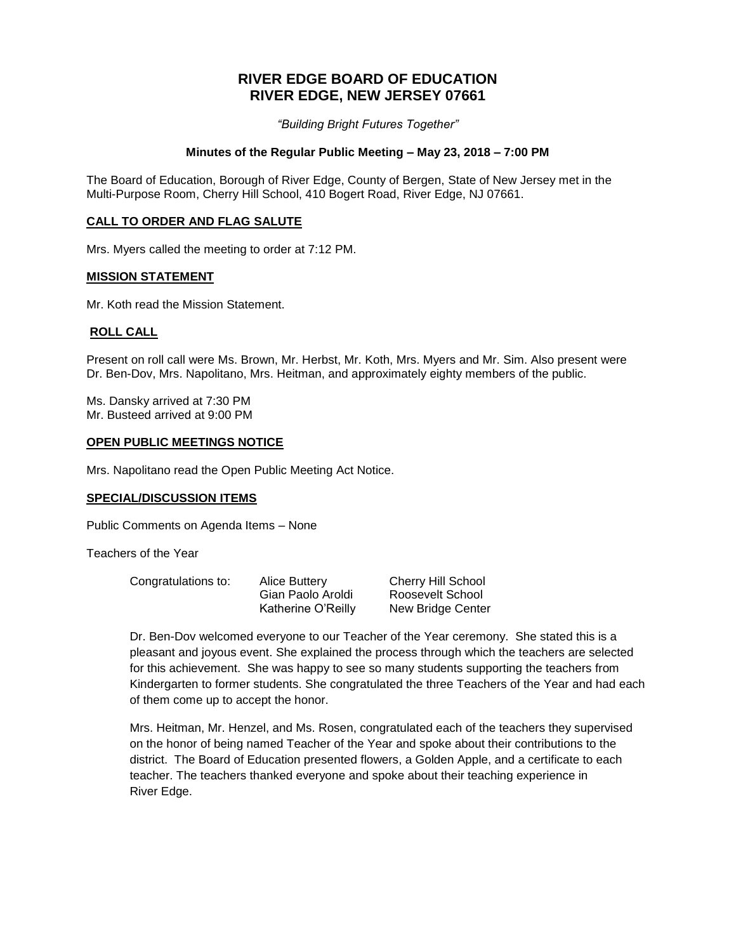# **RIVER EDGE BOARD OF EDUCATION RIVER EDGE, NEW JERSEY 07661**

*"Building Bright Futures Together"*

### **Minutes of the Regular Public Meeting – May 23, 2018 – 7:00 PM**

The Board of Education, Borough of River Edge, County of Bergen, State of New Jersey met in the Multi-Purpose Room, Cherry Hill School, 410 Bogert Road, River Edge, NJ 07661.

### **CALL TO ORDER AND FLAG SALUTE**

Mrs. Myers called the meeting to order at 7:12 PM.

#### **MISSION STATEMENT**

Mr. Koth read the Mission Statement.

#### **ROLL CALL**

Present on roll call were Ms. Brown, Mr. Herbst, Mr. Koth, Mrs. Myers and Mr. Sim. Also present were Dr. Ben-Dov, Mrs. Napolitano, Mrs. Heitman, and approximately eighty members of the public.

Ms. Dansky arrived at 7:30 PM Mr. Busteed arrived at 9:00 PM

#### **OPEN PUBLIC MEETINGS NOTICE**

Mrs. Napolitano read the Open Public Meeting Act Notice.

### **SPECIAL/DISCUSSION ITEMS**

Public Comments on Agenda Items – None

Teachers of the Year

| Congratulations to: | Alice Buttery      | <b>Cherry Hill School</b> |
|---------------------|--------------------|---------------------------|
|                     | Gian Paolo Aroldi  | Roosevelt School          |
|                     | Katherine O'Reilly | New Bridge Center         |

Dr. Ben-Dov welcomed everyone to our Teacher of the Year ceremony. She stated this is a pleasant and joyous event. She explained the process through which the teachers are selected for this achievement. She was happy to see so many students supporting the teachers from Kindergarten to former students. She congratulated the three Teachers of the Year and had each of them come up to accept the honor.

Mrs. Heitman, Mr. Henzel, and Ms. Rosen, congratulated each of the teachers they supervised on the honor of being named Teacher of the Year and spoke about their contributions to the district. The Board of Education presented flowers, a Golden Apple, and a certificate to each teacher. The teachers thanked everyone and spoke about their teaching experience in River Edge.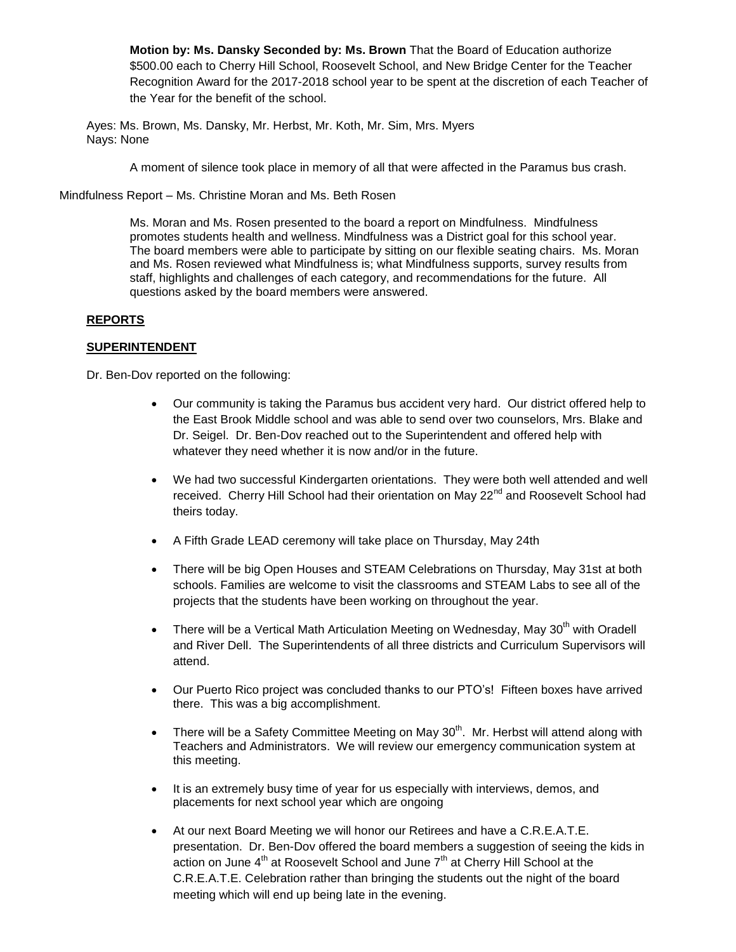**Motion by: Ms. Dansky Seconded by: Ms. Brown** That the Board of Education authorize \$500.00 each to Cherry Hill School, Roosevelt School, and New Bridge Center for the Teacher Recognition Award for the 2017-2018 school year to be spent at the discretion of each Teacher of the Year for the benefit of the school.

Ayes: Ms. Brown, Ms. Dansky, Mr. Herbst, Mr. Koth, Mr. Sim, Mrs. Myers Nays: None

A moment of silence took place in memory of all that were affected in the Paramus bus crash.

Mindfulness Report – Ms. Christine Moran and Ms. Beth Rosen

Ms. Moran and Ms. Rosen presented to the board a report on Mindfulness. Mindfulness promotes students health and wellness. Mindfulness was a District goal for this school year. The board members were able to participate by sitting on our flexible seating chairs. Ms. Moran and Ms. Rosen reviewed what Mindfulness is; what Mindfulness supports, survey results from staff, highlights and challenges of each category, and recommendations for the future. All questions asked by the board members were answered.

# **REPORTS**

# **SUPERINTENDENT**

Dr. Ben-Dov reported on the following:

- Our community is taking the Paramus bus accident very hard. Our district offered help to the East Brook Middle school and was able to send over two counselors, Mrs. Blake and Dr. Seigel. Dr. Ben-Dov reached out to the Superintendent and offered help with whatever they need whether it is now and/or in the future.
- We had two successful Kindergarten orientations. They were both well attended and well received. Cherry Hill School had their orientation on May 22<sup>nd</sup> and Roosevelt School had theirs today.
- A Fifth Grade LEAD ceremony will take place on Thursday, May 24th
- There will be big Open Houses and STEAM Celebrations on Thursday, May 31st at both schools. Families are welcome to visit the classrooms and STEAM Labs to see all of the projects that the students have been working on throughout the year.
- There will be a Vertical Math Articulation Meeting on Wednesday, May  $30<sup>th</sup>$  with Oradell and River Dell. The Superintendents of all three districts and Curriculum Supervisors will attend.
- Our Puerto Rico project was concluded thanks to our PTO's! Fifteen boxes have arrived there. This was a big accomplishment.
- There will be a Safety Committee Meeting on May  $30<sup>th</sup>$ . Mr. Herbst will attend along with Teachers and Administrators. We will review our emergency communication system at this meeting.
- It is an extremely busy time of year for us especially with interviews, demos, and placements for next school year which are ongoing
- At our next Board Meeting we will honor our Retirees and have a C.R.E.A.T.E. presentation. Dr. Ben-Dov offered the board members a suggestion of seeing the kids in action on June  $4<sup>th</sup>$  at Roosevelt School and June  $7<sup>th</sup>$  at Cherry Hill School at the C.R.E.A.T.E. Celebration rather than bringing the students out the night of the board meeting which will end up being late in the evening.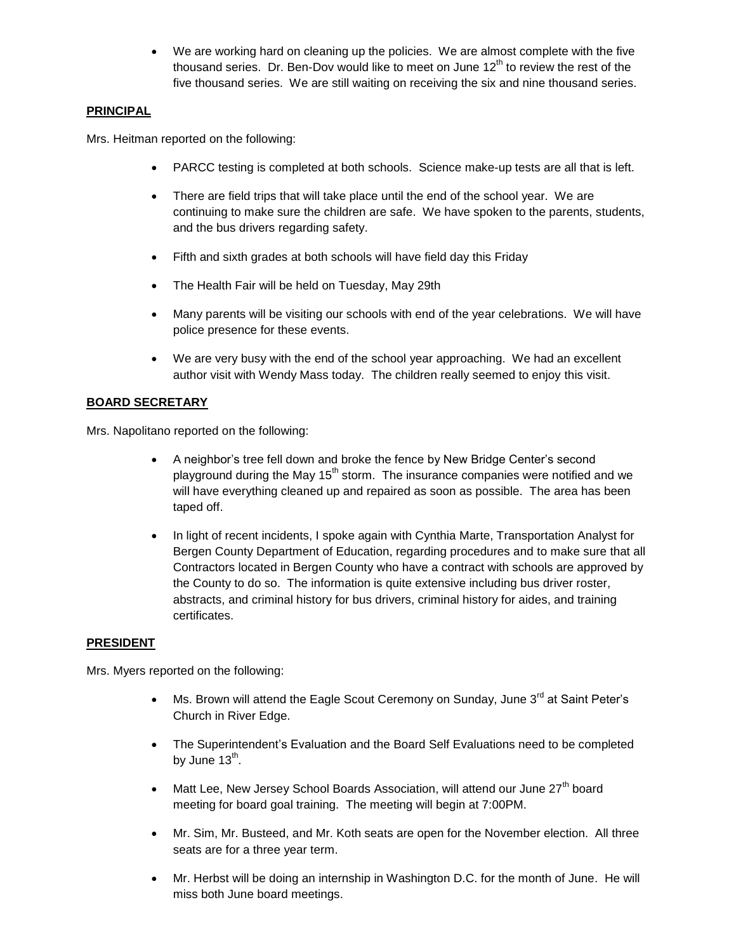We are working hard on cleaning up the policies. We are almost complete with the five thousand series. Dr. Ben-Dov would like to meet on June  $12<sup>th</sup>$  to review the rest of the five thousand series. We are still waiting on receiving the six and nine thousand series.

# **PRINCIPAL**

Mrs. Heitman reported on the following:

- PARCC testing is completed at both schools. Science make-up tests are all that is left.
- There are field trips that will take place until the end of the school year. We are continuing to make sure the children are safe. We have spoken to the parents, students, and the bus drivers regarding safety.
- Fifth and sixth grades at both schools will have field day this Friday
- The Health Fair will be held on Tuesday, May 29th
- Many parents will be visiting our schools with end of the year celebrations. We will have police presence for these events.
- We are very busy with the end of the school year approaching. We had an excellent author visit with Wendy Mass today. The children really seemed to enjoy this visit.

# **BOARD SECRETARY**

Mrs. Napolitano reported on the following:

- A neighbor's tree fell down and broke the fence by New Bridge Center's second playground during the May  $15<sup>th</sup>$  storm. The insurance companies were notified and we will have everything cleaned up and repaired as soon as possible. The area has been taped off.
- In light of recent incidents, I spoke again with Cynthia Marte, Transportation Analyst for Bergen County Department of Education, regarding procedures and to make sure that all Contractors located in Bergen County who have a contract with schools are approved by the County to do so. The information is quite extensive including bus driver roster, abstracts, and criminal history for bus drivers, criminal history for aides, and training certificates.

# **PRESIDENT**

Mrs. Myers reported on the following:

- Ms. Brown will attend the Eagle Scout Ceremony on Sunday, June 3<sup>rd</sup> at Saint Peter's Church in River Edge.
- The Superintendent's Evaluation and the Board Self Evaluations need to be completed by June 13<sup>th</sup>.
- Matt Lee, New Jersey School Boards Association, will attend our June  $27<sup>th</sup>$  board meeting for board goal training. The meeting will begin at 7:00PM.
- Mr. Sim, Mr. Busteed, and Mr. Koth seats are open for the November election. All three seats are for a three year term.
- Mr. Herbst will be doing an internship in Washington D.C. for the month of June. He will miss both June board meetings.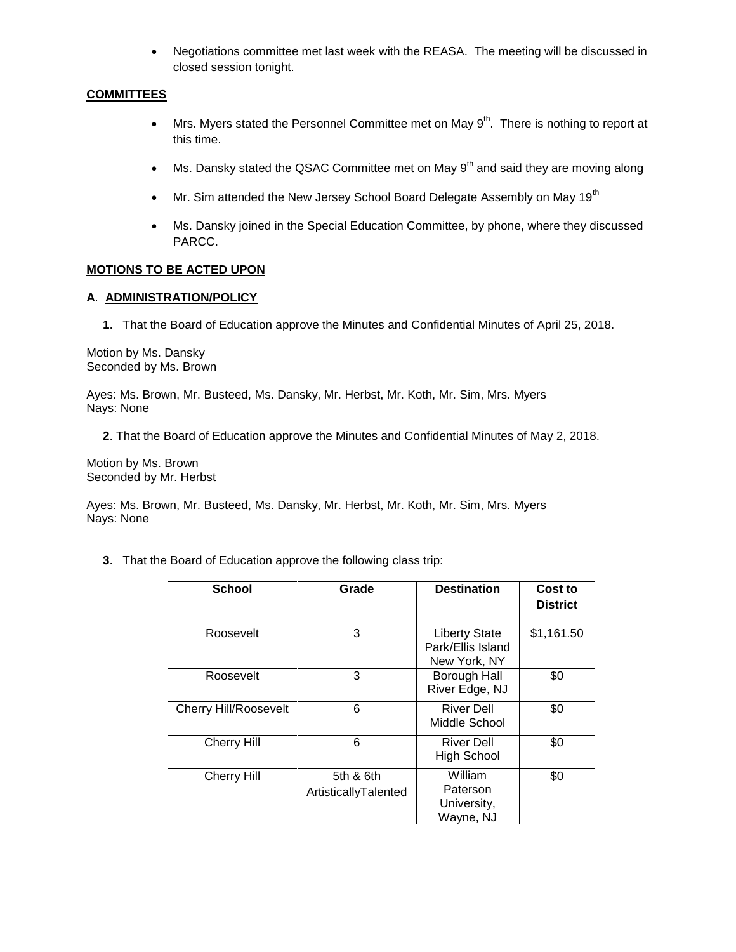Negotiations committee met last week with the REASA. The meeting will be discussed in closed session tonight.

# **COMMITTEES**

- Mrs. Myers stated the Personnel Committee met on May  $9<sup>th</sup>$ . There is nothing to report at this time.
- $\bullet$  Ms. Dansky stated the QSAC Committee met on May 9<sup>th</sup> and said they are moving along
- $\bullet$  Mr. Sim attended the New Jersey School Board Delegate Assembly on May 19<sup>th</sup>
- Ms. Dansky joined in the Special Education Committee, by phone, where they discussed PARCC.

### **MOTIONS TO BE ACTED UPON**

### **A**. **ADMINISTRATION/POLICY**

**1**. That the Board of Education approve the Minutes and Confidential Minutes of April 25, 2018.

Motion by Ms. Dansky Seconded by Ms. Brown

Ayes: Ms. Brown, Mr. Busteed, Ms. Dansky, Mr. Herbst, Mr. Koth, Mr. Sim, Mrs. Myers Nays: None

**2**. That the Board of Education approve the Minutes and Confidential Minutes of May 2, 2018.

Motion by Ms. Brown Seconded by Mr. Herbst

Ayes: Ms. Brown, Mr. Busteed, Ms. Dansky, Mr. Herbst, Mr. Koth, Mr. Sim, Mrs. Myers Nays: None

**3**. That the Board of Education approve the following class trip:

| <b>School</b>                | Grade                             | <b>Destination</b>                                        | Cost to<br><b>District</b> |
|------------------------------|-----------------------------------|-----------------------------------------------------------|----------------------------|
| Roosevelt                    | 3                                 | <b>Liberty State</b><br>Park/Ellis Island<br>New York, NY | \$1,161.50                 |
| Roosevelt                    | 3                                 | Borough Hall<br>River Edge, NJ                            | \$0                        |
| <b>Cherry Hill/Roosevelt</b> | 6                                 | <b>River Dell</b><br>Middle School                        | \$0                        |
| <b>Cherry Hill</b>           | 6                                 | <b>River Dell</b><br><b>High School</b>                   | \$0                        |
| <b>Cherry Hill</b>           | 5th & 6th<br>ArtisticallyTalented | William<br>Paterson<br>University,<br>Wayne, NJ           | \$0                        |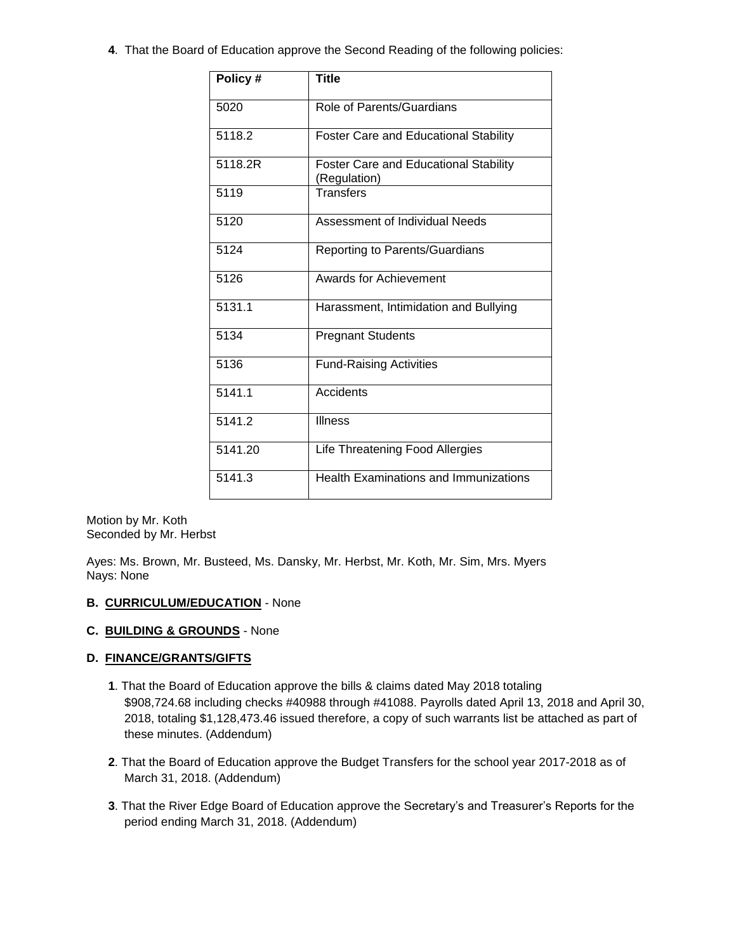**4**. That the Board of Education approve the Second Reading of the following policies:

| Policy # | <b>Title</b>                                                 |
|----------|--------------------------------------------------------------|
| 5020     | Role of Parents/Guardians                                    |
| 5118.2   | <b>Foster Care and Educational Stability</b>                 |
| 5118.2R  | <b>Foster Care and Educational Stability</b><br>(Regulation) |
| 5119     | Transfers                                                    |
| 5120     | Assessment of Individual Needs                               |
| 5124     | Reporting to Parents/Guardians                               |
| 5126     | Awards for Achievement                                       |
| 5131.1   | Harassment, Intimidation and Bullying                        |
| 5134     | <b>Pregnant Students</b>                                     |
| 5136     | <b>Fund-Raising Activities</b>                               |
| 5141.1   | Accidents                                                    |
| 5141.2   | <b>Illness</b>                                               |
| 5141.20  | Life Threatening Food Allergies                              |
| 5141.3   | <b>Health Examinations and Immunizations</b>                 |

Motion by Mr. Koth Seconded by Mr. Herbst

Ayes: Ms. Brown, Mr. Busteed, Ms. Dansky, Mr. Herbst, Mr. Koth, Mr. Sim, Mrs. Myers Nays: None

### **B. CURRICULUM/EDUCATION** - None

### **C. BUILDING & GROUNDS** - None

# **D. FINANCE/GRANTS/GIFTS**

- **1**. That the Board of Education approve the bills & claims dated May 2018 totaling \$908,724.68 including checks #40988 through #41088. Payrolls dated April 13, 2018 and April 30, 2018, totaling \$1,128,473.46 issued therefore, a copy of such warrants list be attached as part of these minutes. (Addendum)
- **2**. That the Board of Education approve the Budget Transfers for the school year 2017-2018 as of March 31, 2018. (Addendum)
- **3**. That the River Edge Board of Education approve the Secretary's and Treasurer's Reports for the period ending March 31, 2018. (Addendum)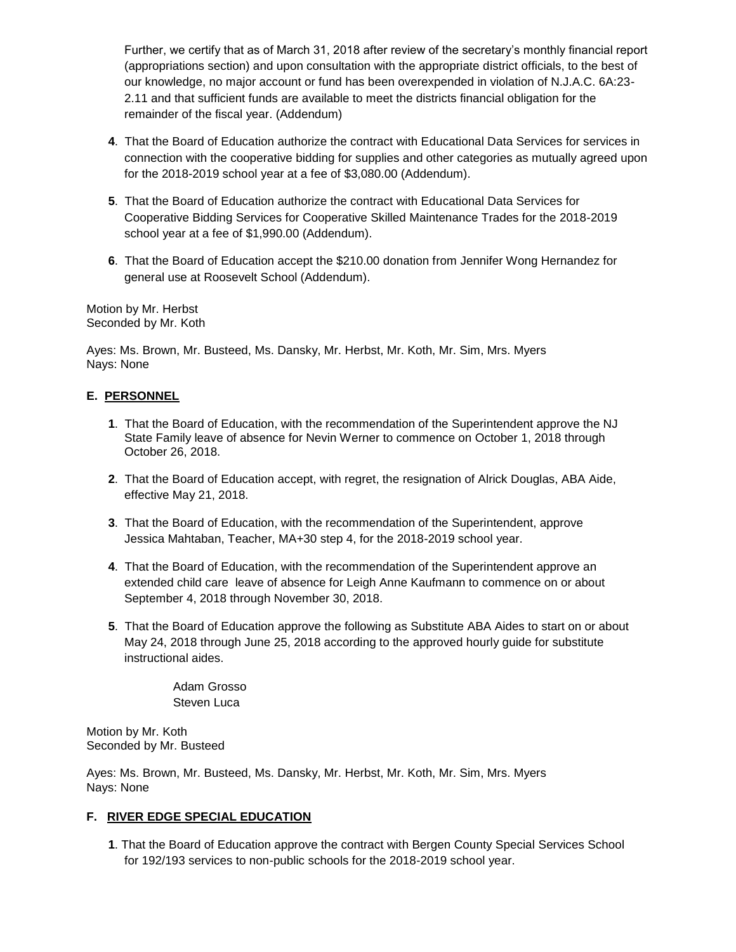Further, we certify that as of March 31, 2018 after review of the secretary's monthly financial report (appropriations section) and upon consultation with the appropriate district officials, to the best of our knowledge, no major account or fund has been overexpended in violation of N.J.A.C. 6A:23- 2.11 and that sufficient funds are available to meet the districts financial obligation for the remainder of the fiscal year. (Addendum)

- **4**. That the Board of Education authorize the contract with Educational Data Services for services in connection with the cooperative bidding for supplies and other categories as mutually agreed upon for the 2018-2019 school year at a fee of \$3,080.00 (Addendum).
- **5**. That the Board of Education authorize the contract with Educational Data Services for Cooperative Bidding Services for Cooperative Skilled Maintenance Trades for the 2018-2019 school year at a fee of \$1,990.00 (Addendum).
- **6**. That the Board of Education accept the \$210.00 donation from Jennifer Wong Hernandez for general use at Roosevelt School (Addendum).

Motion by Mr. Herbst Seconded by Mr. Koth

Ayes: Ms. Brown, Mr. Busteed, Ms. Dansky, Mr. Herbst, Mr. Koth, Mr. Sim, Mrs. Myers Nays: None

# **E. PERSONNEL**

- **1**. That the Board of Education, with the recommendation of the Superintendent approve the NJ State Family leave of absence for Nevin Werner to commence on October 1, 2018 through October 26, 2018.
- **2**. That the Board of Education accept, with regret, the resignation of Alrick Douglas, ABA Aide, effective May 21, 2018.
- **3**. That the Board of Education, with the recommendation of the Superintendent, approve Jessica Mahtaban, Teacher, MA+30 step 4, for the 2018-2019 school year.
- **4**. That the Board of Education, with the recommendation of the Superintendent approve an extended child care leave of absence for Leigh Anne Kaufmann to commence on or about September 4, 2018 through November 30, 2018.
- **5**. That the Board of Education approve the following as Substitute ABA Aides to start on or about May 24, 2018 through June 25, 2018 according to the approved hourly guide for substitute instructional aides.

Adam Grosso Steven Luca

Motion by Mr. Koth Seconded by Mr. Busteed

Ayes: Ms. Brown, Mr. Busteed, Ms. Dansky, Mr. Herbst, Mr. Koth, Mr. Sim, Mrs. Myers Nays: None

# **F. RIVER EDGE SPECIAL EDUCATION**

**1**. That the Board of Education approve the contract with Bergen County Special Services School for 192/193 services to non-public schools for the 2018-2019 school year.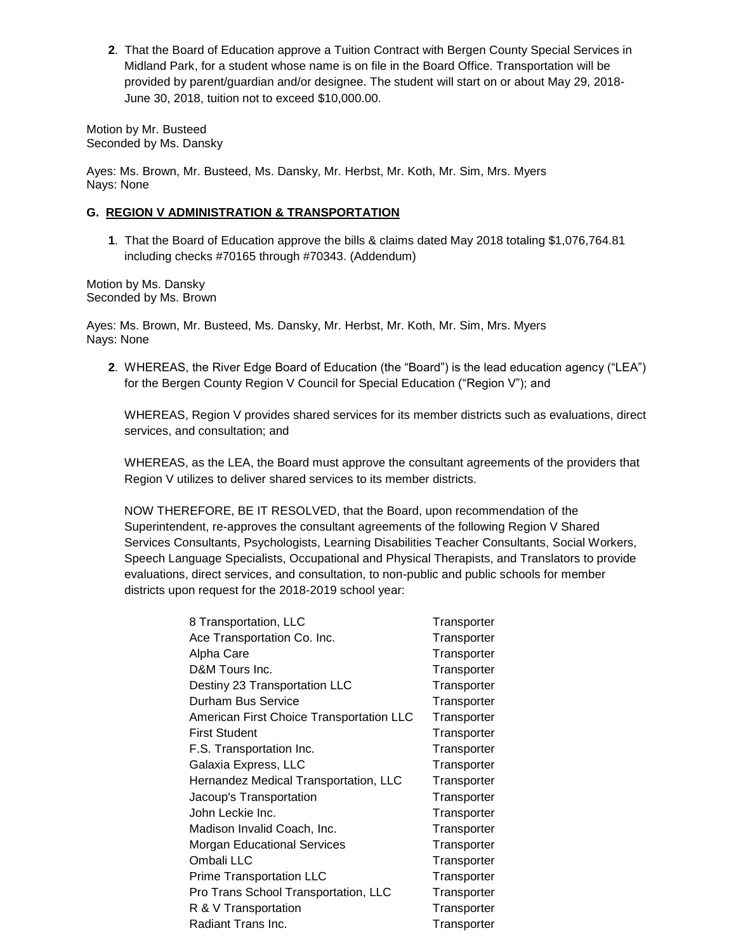**2**. That the Board of Education approve a Tuition Contract with Bergen County Special Services in Midland Park, for a student whose name is on file in the Board Office. Transportation will be provided by parent/guardian and/or designee. The student will start on or about May 29, 2018- June 30, 2018, tuition not to exceed \$10,000.00.

Motion by Mr. Busteed Seconded by Ms. Dansky

Ayes: Ms. Brown, Mr. Busteed, Ms. Dansky, Mr. Herbst, Mr. Koth, Mr. Sim, Mrs. Myers Nays: None

# **G. REGION V ADMINISTRATION & TRANSPORTATION**

**1**. That the Board of Education approve the bills & claims dated May 2018 totaling \$1,076,764.81 including checks #70165 through #70343. (Addendum)

Motion by Ms. Dansky Seconded by Ms. Brown

Ayes: Ms. Brown, Mr. Busteed, Ms. Dansky, Mr. Herbst, Mr. Koth, Mr. Sim, Mrs. Myers Nays: None

**2**. WHEREAS, the River Edge Board of Education (the "Board") is the lead education agency ("LEA") for the Bergen County Region V Council for Special Education ("Region V"); and

WHEREAS, Region V provides shared services for its member districts such as evaluations, direct services, and consultation; and

WHEREAS, as the LEA, the Board must approve the consultant agreements of the providers that Region V utilizes to deliver shared services to its member districts.

NOW THEREFORE, BE IT RESOLVED, that the Board, upon recommendation of the Superintendent, re-approves the consultant agreements of the following Region V Shared Services Consultants, Psychologists, Learning Disabilities Teacher Consultants, Social Workers, Speech Language Specialists, Occupational and Physical Therapists, and Translators to provide evaluations, direct services, and consultation, to non-public and public schools for member districts upon request for the 2018-2019 school year:

| 8 Transportation, LLC                    | Transporter |
|------------------------------------------|-------------|
| Ace Transportation Co. Inc.              | Transporter |
| Alpha Care                               | Transporter |
| D&M Tours Inc.                           | Transporter |
| Destiny 23 Transportation LLC            | Transporter |
| Durham Bus Service                       | Transporter |
| American First Choice Transportation LLC | Transporter |
| <b>First Student</b>                     | Transporter |
| F.S. Transportation Inc.                 | Transporter |
| Galaxia Express, LLC                     | Transporter |
| Hernandez Medical Transportation, LLC    | Transporter |
| Jacoup's Transportation                  | Transporter |
| John Leckie Inc.                         | Transporter |
| Madison Invalid Coach, Inc.              | Transporter |
| <b>Morgan Educational Services</b>       | Transporter |
| Ombali LLC                               | Transporter |
| <b>Prime Transportation LLC</b>          | Transporter |
| Pro Trans School Transportation, LLC     | Transporter |
| R & V Transportation                     | Transporter |
| Radiant Trans Inc.                       | Transporter |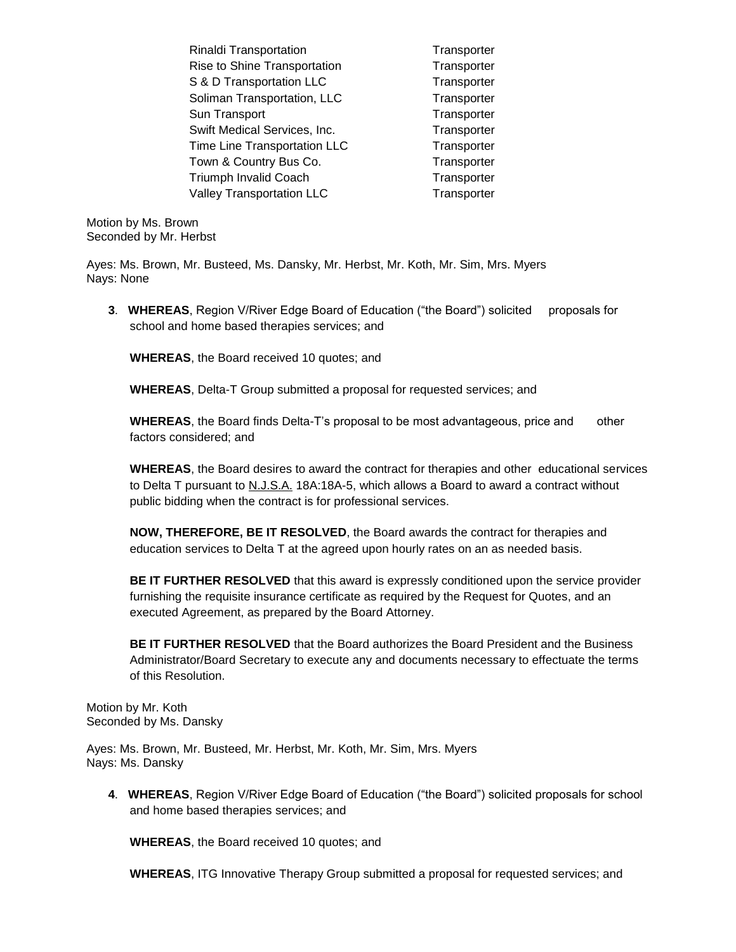Rinaldi Transportation Transporter Rise to Shine Transportation Transporter S & D Transportation LLC Transporter Soliman Transportation, LLC Transporter Sun Transport Transporter Swift Medical Services, Inc. Transporter Time Line Transportation LLC Transporter Town & Country Bus Co. Transporter Triumph Invalid Coach Transporter Valley Transportation LLC Transporter

Motion by Ms. Brown Seconded by Mr. Herbst

Ayes: Ms. Brown, Mr. Busteed, Ms. Dansky, Mr. Herbst, Mr. Koth, Mr. Sim, Mrs. Myers Nays: None

**3**. **WHEREAS**, Region V/River Edge Board of Education ("the Board") solicited proposals for school and home based therapies services; and

**WHEREAS**, the Board received 10 quotes; and

**WHEREAS**, Delta-T Group submitted a proposal for requested services; and

**WHEREAS**, the Board finds Delta-T's proposal to be most advantageous, price and other factors considered; and

**WHEREAS**, the Board desires to award the contract for therapies and other educational services to Delta T pursuant to N.J.S.A. 18A:18A-5, which allows a Board to award a contract without public bidding when the contract is for professional services.

**NOW, THEREFORE, BE IT RESOLVED**, the Board awards the contract for therapies and education services to Delta T at the agreed upon hourly rates on an as needed basis.

**BE IT FURTHER RESOLVED** that this award is expressly conditioned upon the service provider furnishing the requisite insurance certificate as required by the Request for Quotes, and an executed Agreement, as prepared by the Board Attorney.

**BE IT FURTHER RESOLVED** that the Board authorizes the Board President and the Business Administrator/Board Secretary to execute any and documents necessary to effectuate the terms of this Resolution.

Motion by Mr. Koth Seconded by Ms. Dansky

Ayes: Ms. Brown, Mr. Busteed, Mr. Herbst, Mr. Koth, Mr. Sim, Mrs. Myers Nays: Ms. Dansky

**4**. **WHEREAS**, Region V/River Edge Board of Education ("the Board") solicited proposals for school and home based therapies services; and

**WHEREAS**, the Board received 10 quotes; and

**WHEREAS**, ITG Innovative Therapy Group submitted a proposal for requested services; and